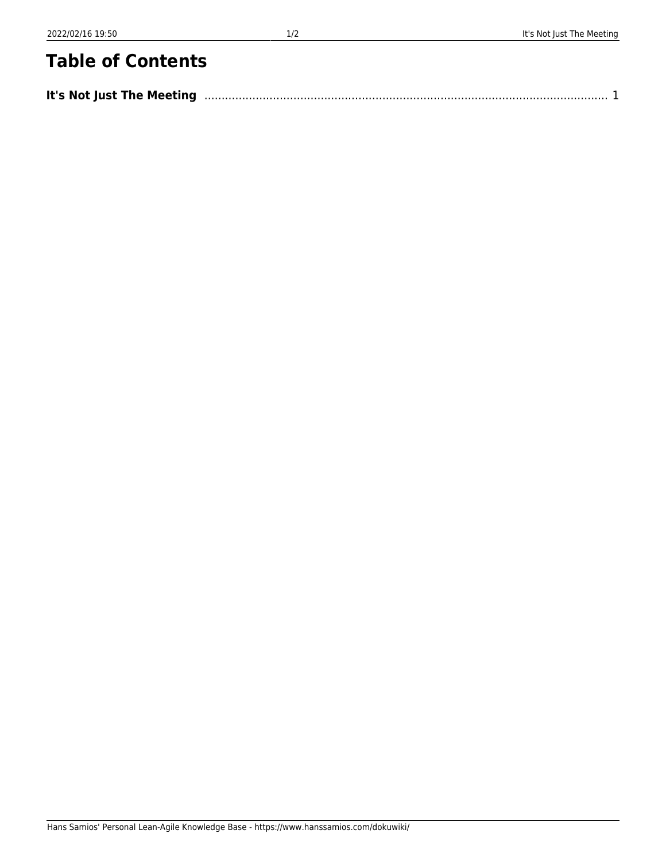## **Table of Contents**

| It's Not Just The Meeting | $\begin{array}{c} \begin{array}{c} \texttt{1} & \texttt{1} & \texttt{1} & \texttt{1} & \texttt{1} & \texttt{1} & \texttt{1} & \texttt{1} & \texttt{1} & \texttt{1} & \texttt{1} & \texttt{1} & \texttt{1} & \texttt{1} & \texttt{1} & \texttt{1} & \texttt{1} & \texttt{1} & \texttt{1} & \texttt{1} & \texttt{1} & \texttt{1} & \texttt{1} & \texttt{1} & \texttt{1} & \texttt{1} & \texttt{1} & \texttt{1} & \texttt{1} & \texttt$ |
|---------------------------|--------------------------------------------------------------------------------------------------------------------------------------------------------------------------------------------------------------------------------------------------------------------------------------------------------------------------------------------------------------------------------------------------------------------------------------|
|---------------------------|--------------------------------------------------------------------------------------------------------------------------------------------------------------------------------------------------------------------------------------------------------------------------------------------------------------------------------------------------------------------------------------------------------------------------------------|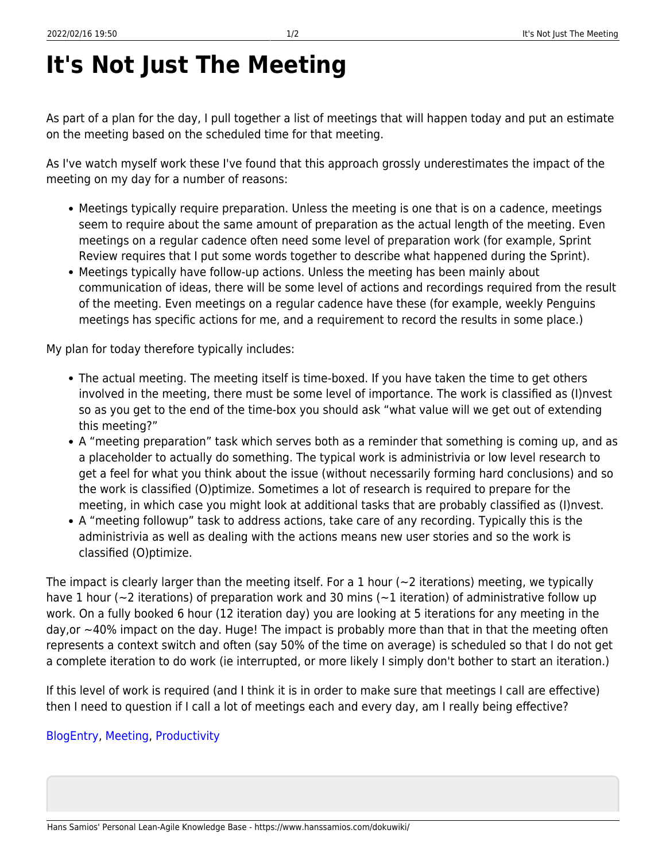## <span id="page-2-0"></span>**It's Not Just The Meeting**

As part of a plan for the day, I pull together a list of meetings that will happen today and put an estimate on the meeting based on the scheduled time for that meeting.

As I've watch myself work these I've found that this approach grossly underestimates the impact of the meeting on my day for a number of reasons:

- Meetings typically require preparation. Unless the meeting is one that is on a cadence, meetings seem to require about the same amount of preparation as the actual length of the meeting. Even meetings on a regular cadence often need some level of preparation work (for example, Sprint Review requires that I put some words together to describe what happened during the Sprint).
- Meetings typically have follow-up actions. Unless the meeting has been mainly about communication of ideas, there will be some level of actions and recordings required from the result of the meeting. Even meetings on a regular cadence have these (for example, weekly Penguins meetings has specific actions for me, and a requirement to record the results in some place.)

My plan for today therefore typically includes:

- The actual meeting. The meeting itself is time-boxed. If you have taken the time to get others involved in the meeting, there must be some level of importance. The work is classified as (I)nvest so as you get to the end of the time-box you should ask "what value will we get out of extending this meeting?"
- A "meeting preparation" task which serves both as a reminder that something is coming up, and as a placeholder to actually do something. The typical work is administrivia or low level research to get a feel for what you think about the issue (without necessarily forming hard conclusions) and so the work is classified (O)ptimize. Sometimes a lot of research is required to prepare for the meeting, in which case you might look at additional tasks that are probably classified as (I)nvest.
- A "meeting followup" task to address actions, take care of any recording. Typically this is the administrivia as well as dealing with the actions means new user stories and so the work is classified (O)ptimize.

The impact is clearly larger than the meeting itself. For a 1 hour  $(\sim 2$  iterations) meeting, we typically have 1 hour (~2 iterations) of preparation work and 30 mins (~1 iteration) of administrative follow up work. On a fully booked 6 hour (12 iteration day) you are looking at 5 iterations for any meeting in the day,or ~40% impact on the day. Huge! The impact is probably more than that in that the meeting often represents a context switch and often (say 50% of the time on average) is scheduled so that I do not get a complete iteration to do work (ie interrupted, or more likely I simply don't bother to start an iteration.)

If this level of work is required (and I think it is in order to make sure that meetings I call are effective) then I need to question if I call a lot of meetings each and every day, am I really being effective?

## [BlogEntry,](https://www.hanssamios.com/dokuwiki/tag:blogentry?do=showtag&tag=BlogEntry) [Meeting,](https://www.hanssamios.com/dokuwiki/tag:meeting?do=showtag&tag=Meeting) [Productivity](https://www.hanssamios.com/dokuwiki/tag:productivity?do=showtag&tag=Productivity)